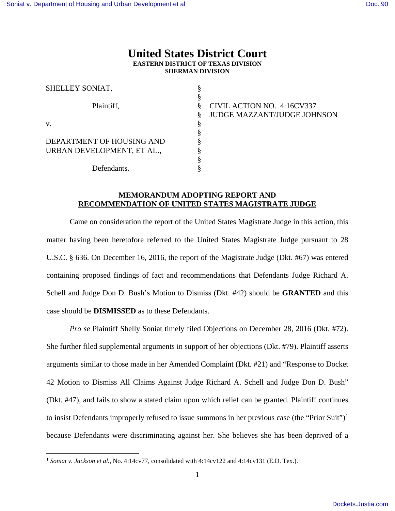## **United States District Court EASTERN DISTRICT OF TEXAS DIVISION SHERMAN DIVISION**

| SHELLEY SONIAT,            |                                    |
|----------------------------|------------------------------------|
|                            |                                    |
| Plaintiff,                 | CIVIL ACTION NO. 4:16CV337         |
|                            | <b>JUDGE MAZZANT/JUDGE JOHNSON</b> |
| V.                         |                                    |
|                            |                                    |
| DEPARTMENT OF HOUSING AND  |                                    |
| URBAN DEVELOPMENT, ET AL., |                                    |
|                            |                                    |
| Defendants.                |                                    |

## **MEMORANDUM ADOPTING REPORT AND RECOMMENDATION OF UNITED STATES MAGISTRATE JUDGE**

Came on consideration the report of the United States Magistrate Judge in this action, this matter having been heretofore referred to the United States Magistrate Judge pursuant to 28 U.S.C. § 636. On December 16, 2016, the report of the Magistrate Judge (Dkt. #67) was entered containing proposed findings of fact and recommendations that Defendants Judge Richard A. Schell and Judge Don D. Bush's Motion to Dismiss (Dkt. #42) should be **GRANTED** and this case should be **DISMISSED** as to these Defendants.

*Pro se* Plaintiff Shelly Soniat timely filed Objections on December 28, 2016 (Dkt. #72). She further filed supplemental arguments in support of her objections (Dkt. #79). Plaintiff asserts arguments similar to those made in her Amended Complaint (Dkt. #21) and "Response to Docket 42 Motion to Dismiss All Claims Against Judge Richard A. Schell and Judge Don D. Bush" (Dkt. #47), and fails to show a stated claim upon which relief can be granted. Plaintiff continues to insist Defendants improperly refused to issue summons in her previous case (the "Prior Suit")<sup>[1](#page-0-0)</sup> because Defendants were discriminating against her. She believes she has been deprived of a

<u>.</u>

<span id="page-0-0"></span><sup>1</sup> *Soniat v. Jackson et al.*, No. 4:14cv77, consolidated with 4:14cv122 and 4:14cv131 (E.D. Tex.).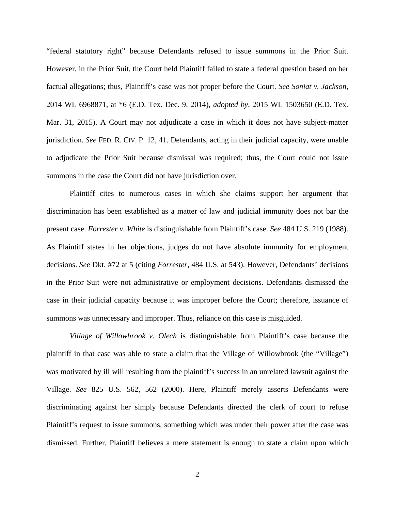"federal statutory right" because Defendants refused to issue summons in the Prior Suit. However, in the Prior Suit, the Court held Plaintiff failed to state a federal question based on her factual allegations; thus, Plaintiff's case was not proper before the Court. *See Soniat v. Jackson*, 2014 WL 6968871, at \*6 (E.D. Tex. Dec. 9, 2014), *adopted by*, 2015 WL 1503650 (E.D. Tex. Mar. 31, 2015). A Court may not adjudicate a case in which it does not have subject-matter jurisdiction. *See* FED. R. CIV. P. 12, 41. Defendants, acting in their judicial capacity, were unable to adjudicate the Prior Suit because dismissal was required; thus, the Court could not issue summons in the case the Court did not have jurisdiction over.

Plaintiff cites to numerous cases in which she claims support her argument that discrimination has been established as a matter of law and judicial immunity does not bar the present case. *Forrester v. White* is distinguishable from Plaintiff's case. *See* 484 U.S. 219 (1988). As Plaintiff states in her objections, judges do not have absolute immunity for employment decisions. *See* Dkt. #72 at 5 (citing *Forrester*, 484 U.S. at 543). However, Defendants' decisions in the Prior Suit were not administrative or employment decisions. Defendants dismissed the case in their judicial capacity because it was improper before the Court; therefore, issuance of summons was unnecessary and improper. Thus, reliance on this case is misguided.

*Village of Willowbrook v. Olech* is distinguishable from Plaintiff's case because the plaintiff in that case was able to state a claim that the Village of Willowbrook (the "Village") was motivated by ill will resulting from the plaintiff's success in an unrelated lawsuit against the Village. *See* 825 U.S. 562, 562 (2000). Here, Plaintiff merely asserts Defendants were discriminating against her simply because Defendants directed the clerk of court to refuse Plaintiff's request to issue summons, something which was under their power after the case was dismissed. Further, Plaintiff believes a mere statement is enough to state a claim upon which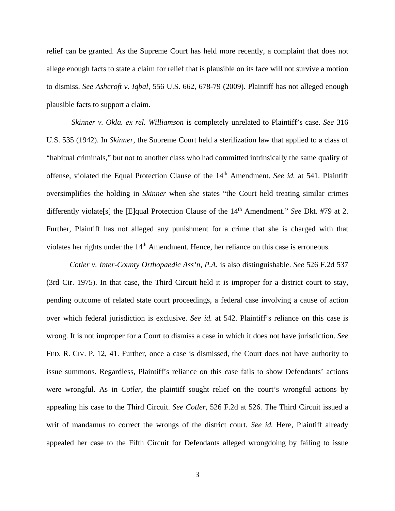relief can be granted. As the Supreme Court has held more recently, a complaint that does not allege enough facts to state a claim for relief that is plausible on its face will not survive a motion to dismiss. *See Ashcroft v. Iqbal*, 556 U.S. 662, 678-79 (2009). Plaintiff has not alleged enough plausible facts to support a claim.

*Skinner v. Okla. ex rel. Williamson* is completely unrelated to Plaintiff's case. *See* 316 U.S. 535 (1942). In *Skinner*, the Supreme Court held a sterilization law that applied to a class of "habitual criminals," but not to another class who had committed intrinsically the same quality of offense, violated the Equal Protection Clause of the 14<sup>th</sup> Amendment. *See id.* at 541. Plaintiff oversimplifies the holding in *Skinner* when she states "the Court held treating similar crimes differently violate<sup>[s]</sup> the [E]qual Protection Clause of the 14<sup>th</sup> Amendment." *See* Dkt. #79 at 2. Further, Plaintiff has not alleged any punishment for a crime that she is charged with that violates her rights under the 14<sup>th</sup> Amendment. Hence, her reliance on this case is erroneous.

*Cotler v. Inter-County Orthopaedic Ass'n, P.A.* is also distinguishable. *See* 526 F.2d 537 (3rd Cir. 1975). In that case, the Third Circuit held it is improper for a district court to stay, pending outcome of related state court proceedings, a federal case involving a cause of action over which federal jurisdiction is exclusive. *See id.* at 542. Plaintiff's reliance on this case is wrong. It is not improper for a Court to dismiss a case in which it does not have jurisdiction. *See*  FED. R. CIV. P. 12, 41. Further, once a case is dismissed, the Court does not have authority to issue summons. Regardless, Plaintiff's reliance on this case fails to show Defendants' actions were wrongful. As in *Cotler*, the plaintiff sought relief on the court's wrongful actions by appealing his case to the Third Circuit. *See Cotler*, 526 F.2d at 526. The Third Circuit issued a writ of mandamus to correct the wrongs of the district court. *See id.* Here, Plaintiff already appealed her case to the Fifth Circuit for Defendants alleged wrongdoing by failing to issue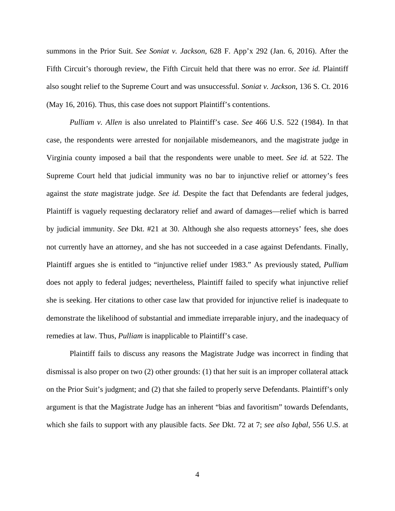summons in the Prior Suit. *See Soniat v. Jackson*, 628 F. App'x 292 (Jan. 6, 2016). After the Fifth Circuit's thorough review, the Fifth Circuit held that there was no error. *See id.* Plaintiff also sought relief to the Supreme Court and was unsuccessful. *Soniat v. Jackson*, 136 S. Ct. 2016 (May 16, 2016). Thus, this case does not support Plaintiff's contentions.

*Pulliam v. Allen* is also unrelated to Plaintiff's case. *See* 466 U.S. 522 (1984). In that case, the respondents were arrested for nonjailable misdemeanors, and the magistrate judge in Virginia county imposed a bail that the respondents were unable to meet. *See id.* at 522. The Supreme Court held that judicial immunity was no bar to injunctive relief or attorney's fees against the *state* magistrate judge. *See id.* Despite the fact that Defendants are federal judges, Plaintiff is vaguely requesting declaratory relief and award of damages—relief which is barred by judicial immunity. *See* Dkt. #21 at 30. Although she also requests attorneys' fees, she does not currently have an attorney, and she has not succeeded in a case against Defendants. Finally, Plaintiff argues she is entitled to "injunctive relief under 1983." As previously stated, *Pulliam* does not apply to federal judges; nevertheless, Plaintiff failed to specify what injunctive relief she is seeking. Her citations to other case law that provided for injunctive relief is inadequate to demonstrate the likelihood of substantial and immediate irreparable injury, and the inadequacy of remedies at law. Thus, *Pulliam* is inapplicable to Plaintiff's case.

Plaintiff fails to discuss any reasons the Magistrate Judge was incorrect in finding that dismissal is also proper on two (2) other grounds: (1) that her suit is an improper collateral attack on the Prior Suit's judgment; and (2) that she failed to properly serve Defendants. Plaintiff's only argument is that the Magistrate Judge has an inherent "bias and favoritism" towards Defendants, which she fails to support with any plausible facts. *See* Dkt. 72 at 7; *see also Iqbal*, 556 U.S. at